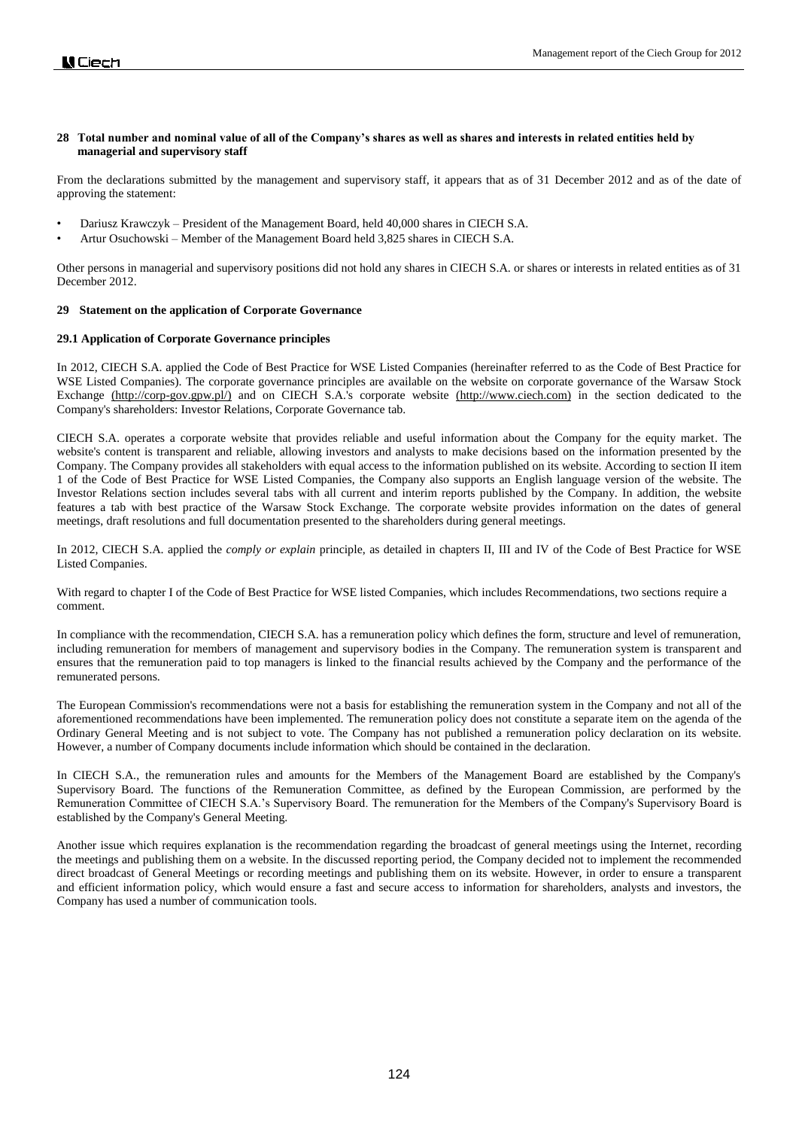# **28 Total number and nominal value of all of the Company's shares as well as shares and interests in related entities held by managerial and supervisory staff**

From the declarations submitted by the management and supervisory staff, it appears that as of 31 December 2012 and as of the date of approving the statement:

- Dariusz Krawczyk President of the Management Board, held 40,000 shares in CIECH S.A.
- Artur Osuchowski Member of the Management Board held 3,825 shares in CIECH S.A.

Other persons in managerial and supervisory positions did not hold any shares in CIECH S.A. or shares or interests in related entities as of 31 December 2012.

### **29 Statement on the application of Corporate Governance**

### **29.1 Application of Corporate Governance principles**

In 2012, CIECH S.A. applied the Code of Best Practice for WSE Listed Companies (hereinafter referred to as the Code of Best Practice for WSE Listed Companies). The corporate governance principles are available on the website on corporate governance of the Warsaw Stock Exchange [\(http://corp-gov.gpw.pl/\)](http://corp-gov.gpw.pl/) and on CIECH S.A.'s corporate website [\(http://www.ciech.com\)](http://www.ciech.com/) in the section dedicated to the Company's shareholders: Investor Relations, Corporate Governance tab.

CIECH S.A. operates a corporate website that provides reliable and useful information about the Company for the equity market. The website's content is transparent and reliable, allowing investors and analysts to make decisions based on the information presented by the Company. The Company provides all stakeholders with equal access to the information published on its website. According to section II item 1 of the Code of Best Practice for WSE Listed Companies, the Company also supports an English language version of the website. The Investor Relations section includes several tabs with all current and interim reports published by the Company. In addition, the website features a tab with best practice of the Warsaw Stock Exchange. The corporate website provides information on the dates of general meetings, draft resolutions and full documentation presented to the shareholders during general meetings.

In 2012, CIECH S.A. applied the *comply or explain* principle, as detailed in chapters II, III and IV of the Code of Best Practice for WSE Listed Companies.

With regard to chapter I of the Code of Best Practice for WSE listed Companies, which includes Recommendations, two sections require a comment.

In compliance with the recommendation, CIECH S.A. has a remuneration policy which defines the form, structure and level of remuneration, including remuneration for members of management and supervisory bodies in the Company. The remuneration system is transparent and ensures that the remuneration paid to top managers is linked to the financial results achieved by the Company and the performance of the remunerated persons.

The European Commission's recommendations were not a basis for establishing the remuneration system in the Company and not all of the aforementioned recommendations have been implemented. The remuneration policy does not constitute a separate item on the agenda of the Ordinary General Meeting and is not subject to vote. The Company has not published a remuneration policy declaration on its website. However, a number of Company documents include information which should be contained in the declaration.

In CIECH S.A., the remuneration rules and amounts for the Members of the Management Board are established by the Company's Supervisory Board. The functions of the Remuneration Committee, as defined by the European Commission, are performed by the Remuneration Committee of CIECH S.A.'s Supervisory Board. The remuneration for the Members of the Company's Supervisory Board is established by the Company's General Meeting.

Another issue which requires explanation is the recommendation regarding the broadcast of general meetings using the Internet, recording the meetings and publishing them on a website. In the discussed reporting period, the Company decided not to implement the recommended direct broadcast of General Meetings or recording meetings and publishing them on its website. However, in order to ensure a transparent and efficient information policy, which would ensure a fast and secure access to information for shareholders, analysts and investors, the Company has used a number of communication tools.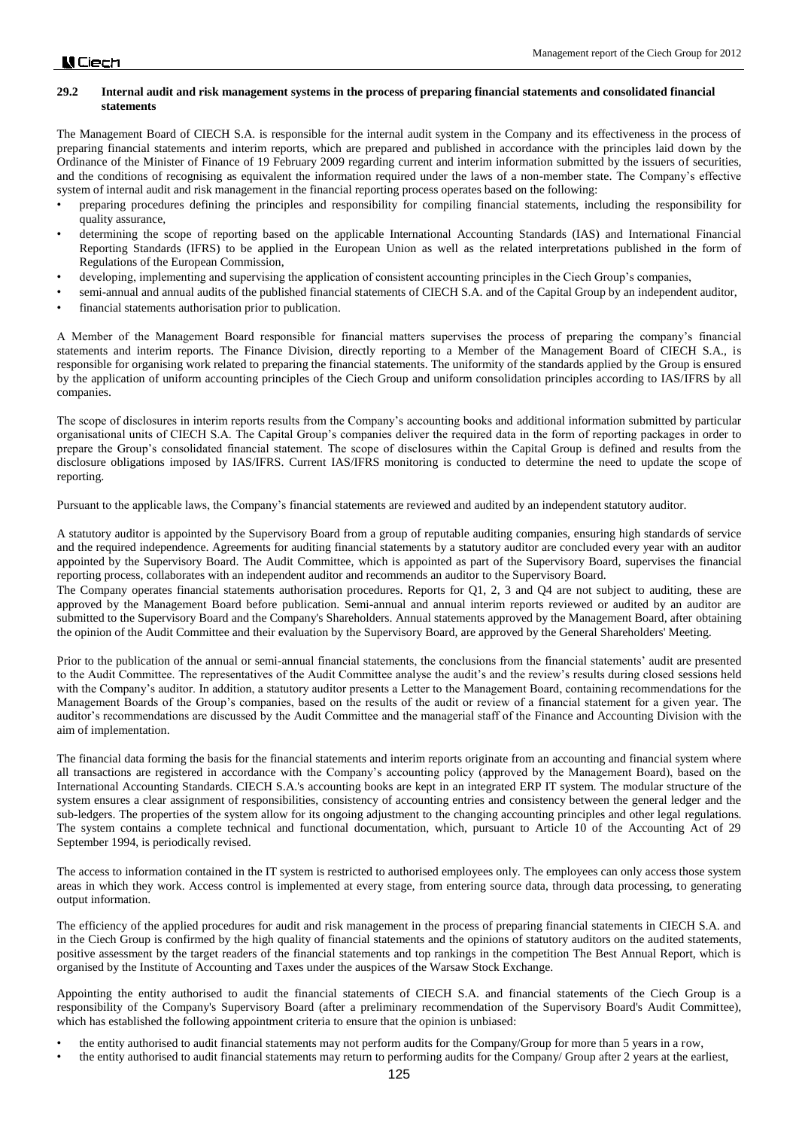### **29.2 Internal audit and risk management systems in the process of preparing financial statements and consolidated financial statements**

The Management Board of CIECH S.A. is responsible for the internal audit system in the Company and its effectiveness in the process of preparing financial statements and interim reports, which are prepared and published in accordance with the principles laid down by the Ordinance of the Minister of Finance of 19 February 2009 regarding current and interim information submitted by the issuers of securities, and the conditions of recognising as equivalent the information required under the laws of a non-member state. The Company's effective system of internal audit and risk management in the financial reporting process operates based on the following:

- preparing procedures defining the principles and responsibility for compiling financial statements, including the responsibility for quality assurance,
- determining the scope of reporting based on the applicable International Accounting Standards (IAS) and International Financial Reporting Standards (IFRS) to be applied in the European Union as well as the related interpretations published in the form of Regulations of the European Commission,
- developing, implementing and supervising the application of consistent accounting principles in the Ciech Group's companies,
- semi-annual and annual audits of the published financial statements of CIECH S.A. and of the Capital Group by an independent auditor,
- financial statements authorisation prior to publication.

A Member of the Management Board responsible for financial matters supervises the process of preparing the company's financial statements and interim reports. The Finance Division, directly reporting to a Member of the Management Board of CIECH S.A., is responsible for organising work related to preparing the financial statements. The uniformity of the standards applied by the Group is ensured by the application of uniform accounting principles of the Ciech Group and uniform consolidation principles according to IAS/IFRS by all companies.

The scope of disclosures in interim reports results from the Company's accounting books and additional information submitted by particular organisational units of CIECH S.A. The Capital Group's companies deliver the required data in the form of reporting packages in order to prepare the Group's consolidated financial statement. The scope of disclosures within the Capital Group is defined and results from the disclosure obligations imposed by IAS/IFRS. Current IAS/IFRS monitoring is conducted to determine the need to update the scope of reporting.

Pursuant to the applicable laws, the Company's financial statements are reviewed and audited by an independent statutory auditor.

A statutory auditor is appointed by the Supervisory Board from a group of reputable auditing companies, ensuring high standards of service and the required independence. Agreements for auditing financial statements by a statutory auditor are concluded every year with an auditor appointed by the Supervisory Board. The Audit Committee, which is appointed as part of the Supervisory Board, supervises the financial reporting process, collaborates with an independent auditor and recommends an auditor to the Supervisory Board.

The Company operates financial statements authorisation procedures. Reports for Q1, 2, 3 and Q4 are not subject to auditing, these are approved by the Management Board before publication. Semi-annual and annual interim reports reviewed or audited by an auditor are submitted to the Supervisory Board and the Company's Shareholders. Annual statements approved by the Management Board, after obtaining the opinion of the Audit Committee and their evaluation by the Supervisory Board, are approved by the General Shareholders' Meeting.

Prior to the publication of the annual or semi-annual financial statements, the conclusions from the financial statements' audit are presented to the Audit Committee. The representatives of the Audit Committee analyse the audit's and the review's results during closed sessions held with the Company's auditor. In addition, a statutory auditor presents a Letter to the Management Board, containing recommendations for the Management Boards of the Group's companies, based on the results of the audit or review of a financial statement for a given year. The auditor's recommendations are discussed by the Audit Committee and the managerial staff of the Finance and Accounting Division with the aim of implementation.

The financial data forming the basis for the financial statements and interim reports originate from an accounting and financial system where all transactions are registered in accordance with the Company's accounting policy (approved by the Management Board), based on the International Accounting Standards. CIECH S.A.'s accounting books are kept in an integrated ERP IT system. The modular structure of the system ensures a clear assignment of responsibilities, consistency of accounting entries and consistency between the general ledger and the sub-ledgers. The properties of the system allow for its ongoing adjustment to the changing accounting principles and other legal regulations. The system contains a complete technical and functional documentation, which, pursuant to Article 10 of the Accounting Act of 29 September 1994, is periodically revised.

The access to information contained in the IT system is restricted to authorised employees only. The employees can only access those system areas in which they work. Access control is implemented at every stage, from entering source data, through data processing, to generating output information.

The efficiency of the applied procedures for audit and risk management in the process of preparing financial statements in CIECH S.A. and in the Ciech Group is confirmed by the high quality of financial statements and the opinions of statutory auditors on the audited statements, positive assessment by the target readers of the financial statements and top rankings in the competition The Best Annual Report, which is organised by the Institute of Accounting and Taxes under the auspices of the Warsaw Stock Exchange.

Appointing the entity authorised to audit the financial statements of CIECH S.A. and financial statements of the Ciech Group is a responsibility of the Company's Supervisory Board (after a preliminary recommendation of the Supervisory Board's Audit Committee), which has established the following appointment criteria to ensure that the opinion is unbiased:

- the entity authorised to audit financial statements may not perform audits for the Company/Group for more than 5 years in a row,
- the entity authorised to audit financial statements may return to performing audits for the Company/ Group after 2 years at the earliest,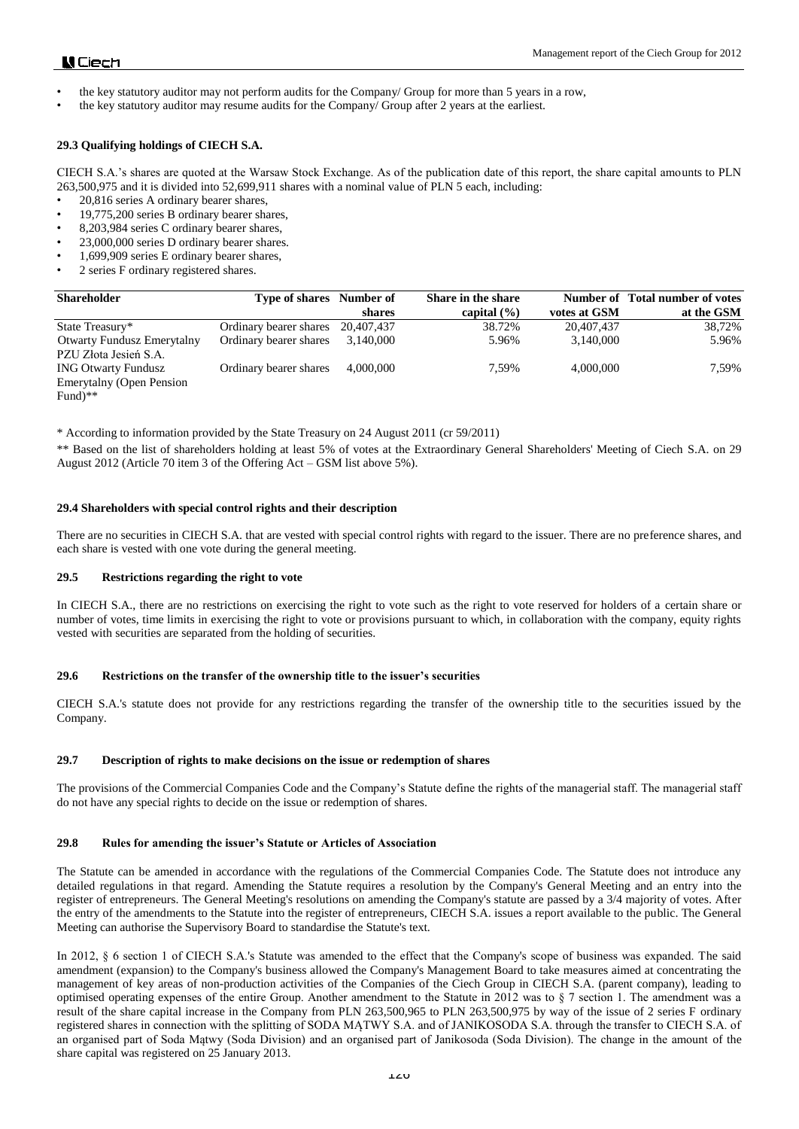# **N** Ciech

- the key statutory auditor may not perform audits for the Company/ Group for more than 5 years in a row,
- the key statutory auditor may resume audits for the Company/ Group after 2 years at the earliest.

# **29.3 Qualifying holdings of CIECH S.A.**

CIECH S.A.'s shares are quoted at the Warsaw Stock Exchange. As of the publication date of this report, the share capital amounts to PLN 263,500,975 and it is divided into 52,699,911 shares with a nominal value of PLN 5 each, including:

- 20,816 series A ordinary bearer shares,
- 19,775,200 series B ordinary bearer shares,
- 8,203,984 series C ordinary bearer shares,
- 23,000,000 series D ordinary bearer shares.
- 1,699,909 series E ordinary bearer shares,
- 2 series F ordinary registered shares.

| <b>Shareholder</b>                | <b>Type of shares</b> Number of |            | Share in the share |              | Number of Total number of votes |
|-----------------------------------|---------------------------------|------------|--------------------|--------------|---------------------------------|
|                                   |                                 | shares     | capital $(\% )$    | votes at GSM | at the GSM                      |
| State Treasury*                   | Ordinary bearer shares          | 20,407,437 | 38.72%             | 20.407.437   | 38.72%                          |
| <b>Otwarty Fundusz Emerytalny</b> | Ordinary bearer shares          | 3,140,000  | 5.96%              | 3,140,000    | 5.96%                           |
| PZU Złota Jesień S.A.             |                                 |            |                    |              |                                 |
| <b>ING Otwarty Fundusz</b>        | Ordinary bearer shares          | 4.000.000  | 7.59%              | 4,000,000    | 7.59%                           |
| Emerytalny (Open Pension          |                                 |            |                    |              |                                 |
| Fund)**                           |                                 |            |                    |              |                                 |

\* According to information provided by the State Treasury on 24 August 2011 (cr 59/2011)

\*\* Based on the list of shareholders holding at least 5% of votes at the Extraordinary General Shareholders' Meeting of Ciech S.A. on 29 August 2012 (Article 70 item 3 of the Offering Act – GSM list above 5%).

# **29.4 Shareholders with special control rights and their description**

There are no securities in CIECH S.A. that are vested with special control rights with regard to the issuer. There are no preference shares, and each share is vested with one vote during the general meeting.

# **29.5 Restrictions regarding the right to vote**

In CIECH S.A., there are no restrictions on exercising the right to vote such as the right to vote reserved for holders of a certain share or number of votes, time limits in exercising the right to vote or provisions pursuant to which, in collaboration with the company, equity rights vested with securities are separated from the holding of securities.

# **29.6 Restrictions on the transfer of the ownership title to the issuer's securities**

CIECH S.A.'s statute does not provide for any restrictions regarding the transfer of the ownership title to the securities issued by the Company.

# **29.7 Description of rights to make decisions on the issue or redemption of shares**

The provisions of the Commercial Companies Code and the Company's Statute define the rights of the managerial staff. The managerial staff do not have any special rights to decide on the issue or redemption of shares.

# **29.8 Rules for amending the issuer's Statute or Articles of Association**

The Statute can be amended in accordance with the regulations of the Commercial Companies Code. The Statute does not introduce any detailed regulations in that regard. Amending the Statute requires a resolution by the Company's General Meeting and an entry into the register of entrepreneurs. The General Meeting's resolutions on amending the Company's statute are passed by a 3/4 majority of votes. After the entry of the amendments to the Statute into the register of entrepreneurs, CIECH S.A. issues a report available to the public. The General Meeting can authorise the Supervisory Board to standardise the Statute's text.

In 2012, § 6 section 1 of CIECH S.A.'s Statute was amended to the effect that the Company's scope of business was expanded. The said amendment (expansion) to the Company's business allowed the Company's Management Board to take measures aimed at concentrating the management of key areas of non-production activities of the Companies of the Ciech Group in CIECH S.A. (parent company), leading to optimised operating expenses of the entire Group. Another amendment to the Statute in 2012 was to § 7 section 1. The amendment was a result of the share capital increase in the Company from PLN 263,500,965 to PLN 263,500,975 by way of the issue of 2 series F ordinary registered shares in connection with the splitting of SODA MĄTWY S.A. and of JANIKOSODA S.A. through the transfer to CIECH S.A. of an organised part of Soda Mątwy (Soda Division) and an organised part of Janikosoda (Soda Division). The change in the amount of the share capital was registered on 25 January 2013.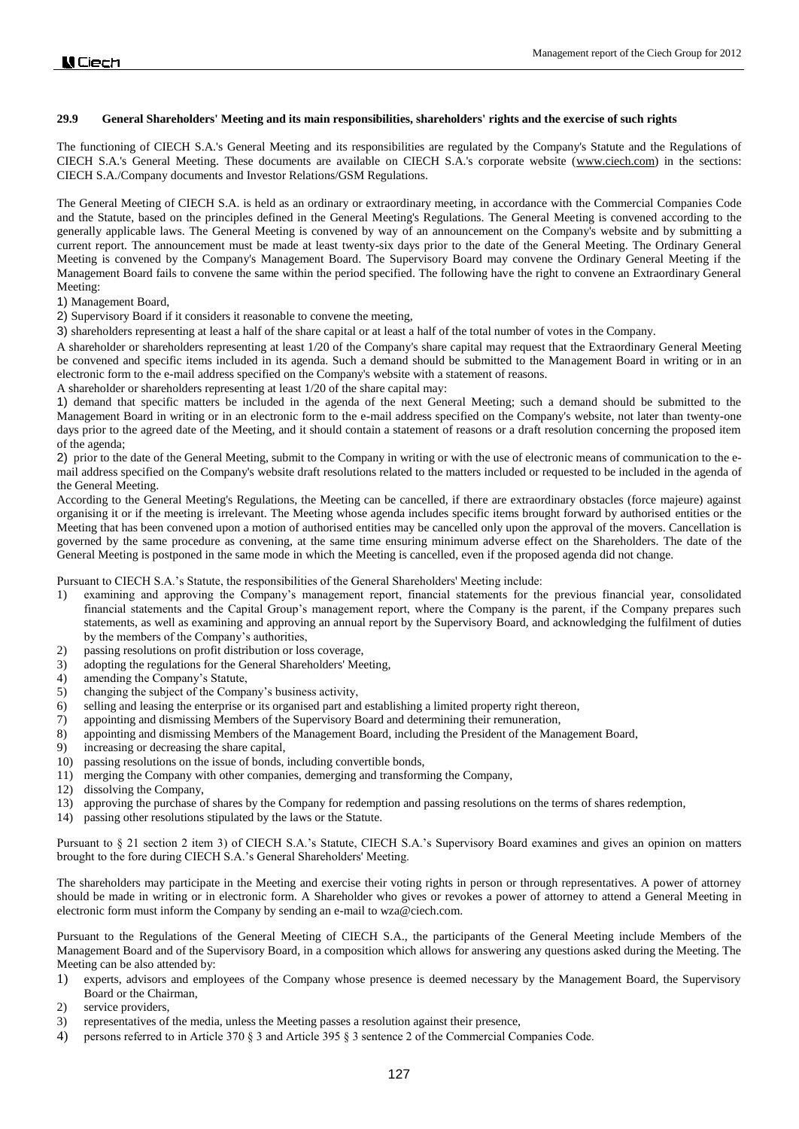# **29.9 General Shareholders' Meeting and its main responsibilities, shareholders' rights and the exercise of such rights**

The functioning of CIECH S.A.'s General Meeting and its responsibilities are regulated by the Company's Statute and the Regulations of CIECH S.A.'s General Meeting. These documents are available on CIECH S.A.'s corporate website [\(www.ciech.com\)](http://www.ciech.com/) in the sections: CIECH S.A./Company documents and Investor Relations/GSM Regulations.

The General Meeting of CIECH S.A. is held as an ordinary or extraordinary meeting, in accordance with the Commercial Companies Code and the Statute, based on the principles defined in the General Meeting's Regulations. The General Meeting is convened according to the generally applicable laws. The General Meeting is convened by way of an announcement on the Company's website and by submitting a current report. The announcement must be made at least twenty-six days prior to the date of the General Meeting. The Ordinary General Meeting is convened by the Company's Management Board. The Supervisory Board may convene the Ordinary General Meeting if the Management Board fails to convene the same within the period specified. The following have the right to convene an Extraordinary General Meeting:

1) Management Board,

2) Supervisory Board if it considers it reasonable to convene the meeting,

3) shareholders representing at least a half of the share capital or at least a half of the total number of votes in the Company.

A shareholder or shareholders representing at least 1/20 of the Company's share capital may request that the Extraordinary General Meeting be convened and specific items included in its agenda. Such a demand should be submitted to the Management Board in writing or in an electronic form to the e-mail address specified on the Company's website with a statement of reasons.

A shareholder or shareholders representing at least 1/20 of the share capital may:

1) demand that specific matters be included in the agenda of the next General Meeting; such a demand should be submitted to the Management Board in writing or in an electronic form to the e-mail address specified on the Company's website, not later than twenty-one days prior to the agreed date of the Meeting, and it should contain a statement of reasons or a draft resolution concerning the proposed item of the agenda;

2) prior to the date of the General Meeting, submit to the Company in writing or with the use of electronic means of communication to the email address specified on the Company's website draft resolutions related to the matters included or requested to be included in the agenda of the General Meeting.

According to the General Meeting's Regulations, the Meeting can be cancelled, if there are extraordinary obstacles (force majeure) against organising it or if the meeting is irrelevant. The Meeting whose agenda includes specific items brought forward by authorised entities or the Meeting that has been convened upon a motion of authorised entities may be cancelled only upon the approval of the movers. Cancellation is governed by the same procedure as convening, at the same time ensuring minimum adverse effect on the Shareholders. The date of the General Meeting is postponed in the same mode in which the Meeting is cancelled, even if the proposed agenda did not change.

Pursuant to CIECH S.A.'s Statute, the responsibilities of the General Shareholders' Meeting include:

- 1) examining and approving the Company's management report, financial statements for the previous financial year, consolidated financial statements and the Capital Group's management report, where the Company is the parent, if the Company prepares such statements, as well as examining and approving an annual report by the Supervisory Board, and acknowledging the fulfilment of duties by the members of the Company's authorities,
- 2) passing resolutions on profit distribution or loss coverage,
- 3) adopting the regulations for the General Shareholders' Meeting,
- 4) amending the Company's Statute,
- 5) changing the subject of the Company's business activity,
- 6) selling and leasing the enterprise or its organised part and establishing a limited property right thereon,
- 7) appointing and dismissing Members of the Supervisory Board and determining their remuneration,
- 8) appointing and dismissing Members of the Management Board, including the President of the Management Board,
- 9) increasing or decreasing the share capital,
- 10) passing resolutions on the issue of bonds, including convertible bonds,
- 11) merging the Company with other companies, demerging and transforming the Company,
- 12) dissolving the Company,
- 13) approving the purchase of shares by the Company for redemption and passing resolutions on the terms of shares redemption,
- 14) passing other resolutions stipulated by the laws or the Statute.

Pursuant to § 21 section 2 item 3) of CIECH S.A.'s Statute, CIECH S.A.'s Supervisory Board examines and gives an opinion on matters brought to the fore during CIECH S.A.'s General Shareholders' Meeting.

The shareholders may participate in the Meeting and exercise their voting rights in person or through representatives. A power of attorney should be made in writing or in electronic form. A Shareholder who gives or revokes a power of attorney to attend a General Meeting in electronic form must inform the Company by sending an e-mail to wza@ciech.com.

Pursuant to the Regulations of the General Meeting of CIECH S.A., the participants of the General Meeting include Members of the Management Board and of the Supervisory Board, in a composition which allows for answering any questions asked during the Meeting. The Meeting can be also attended by:

- 1) experts, advisors and employees of the Company whose presence is deemed necessary by the Management Board, the Supervisory Board or the Chairman,
- 2) service providers,
- 3) representatives of the media, unless the Meeting passes a resolution against their presence,
- 4) persons referred to in Article 370 § 3 and Article 395 § 3 sentence 2 of the Commercial Companies Code.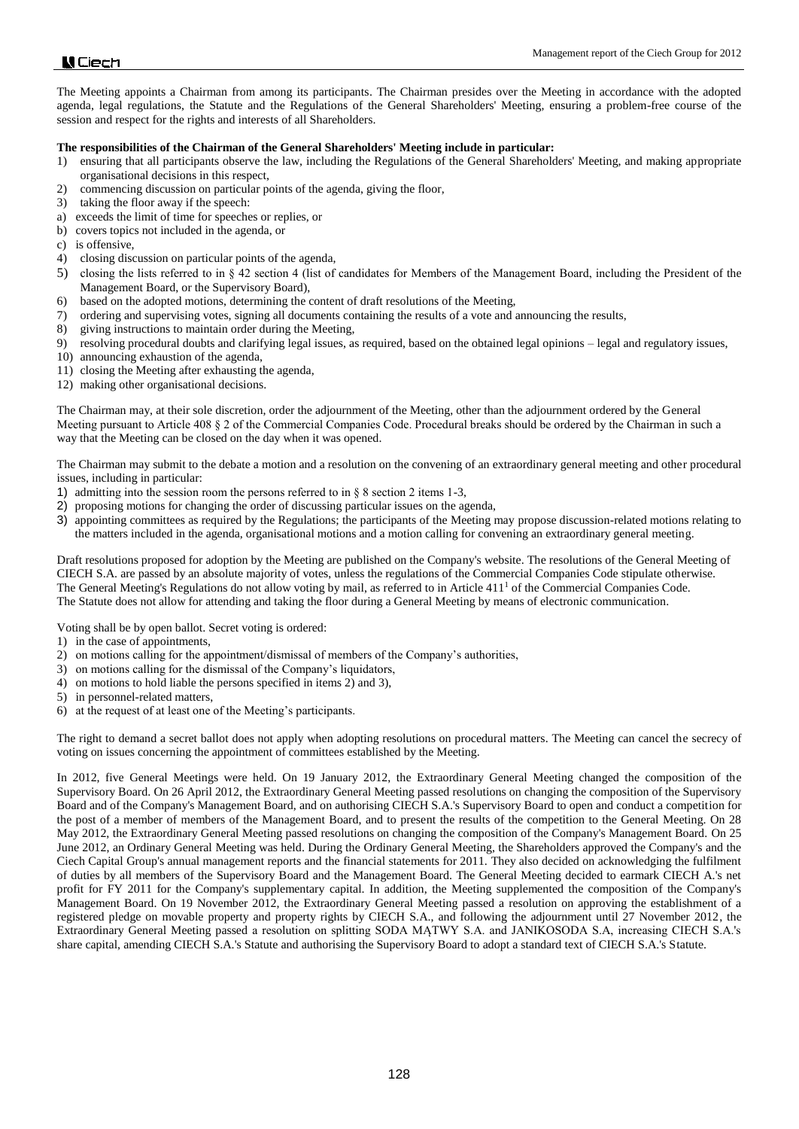The Meeting appoints a Chairman from among its participants. The Chairman presides over the Meeting in accordance with the adopted agenda, legal regulations, the Statute and the Regulations of the General Shareholders' Meeting, ensuring a problem-free course of the session and respect for the rights and interests of all Shareholders.

### **The responsibilities of the Chairman of the General Shareholders' Meeting include in particular:**

- 1) ensuring that all participants observe the law, including the Regulations of the General Shareholders' Meeting, and making appropriate organisational decisions in this respect,
- 2) commencing discussion on particular points of the agenda, giving the floor,
- 3) taking the floor away if the speech:
- a) exceeds the limit of time for speeches or replies, or
- b) covers topics not included in the agenda, or
- c) is offensive,
- 4) closing discussion on particular points of the agenda,
- 5) closing the lists referred to in § 42 section 4 (list of candidates for Members of the Management Board, including the President of the Management Board, or the Supervisory Board),
- 6) based on the adopted motions, determining the content of draft resolutions of the Meeting,
- 7) ordering and supervising votes, signing all documents containing the results of a vote and announcing the results,
- 8) giving instructions to maintain order during the Meeting,
- 9) resolving procedural doubts and clarifying legal issues, as required, based on the obtained legal opinions legal and regulatory issues,
- 10) announcing exhaustion of the agenda,
- 11) closing the Meeting after exhausting the agenda,
- 12) making other organisational decisions.

The Chairman may, at their sole discretion, order the adjournment of the Meeting, other than the adjournment ordered by the General Meeting pursuant to Article 408 § 2 of the Commercial Companies Code. Procedural breaks should be ordered by the Chairman in such a way that the Meeting can be closed on the day when it was opened.

The Chairman may submit to the debate a motion and a resolution on the convening of an extraordinary general meeting and other procedural issues, including in particular:

- 1) admitting into the session room the persons referred to in § 8 section 2 items 1-3,
- 2) proposing motions for changing the order of discussing particular issues on the agenda,
- 3) appointing committees as required by the Regulations; the participants of the Meeting may propose discussion-related motions relating to the matters included in the agenda, organisational motions and a motion calling for convening an extraordinary general meeting.

Draft resolutions proposed for adoption by the Meeting are published on the Company's website. The resolutions of the General Meeting of CIECH S.A. are passed by an absolute majority of votes, unless the regulations of the Commercial Companies Code stipulate otherwise. The General Meeting's Regulations do not allow voting by mail, as referred to in Article  $411<sup>1</sup>$  of the Commercial Companies Code. The Statute does not allow for attending and taking the floor during a General Meeting by means of electronic communication.

Voting shall be by open ballot. Secret voting is ordered:

- 1) in the case of appointments,
- 2) on motions calling for the appointment/dismissal of members of the Company's authorities,
- 3) on motions calling for the dismissal of the Company's liquidators,
- 4) on motions to hold liable the persons specified in items 2) and 3),
- 5) in personnel-related matters,
- 6) at the request of at least one of the Meeting's participants.

The right to demand a secret ballot does not apply when adopting resolutions on procedural matters. The Meeting can cancel the secrecy of voting on issues concerning the appointment of committees established by the Meeting.

In 2012, five General Meetings were held. On 19 January 2012, the Extraordinary General Meeting changed the composition of the Supervisory Board. On 26 April 2012, the Extraordinary General Meeting passed resolutions on changing the composition of the Supervisory Board and of the Company's Management Board, and on authorising CIECH S.A.'s Supervisory Board to open and conduct a competition for the post of a member of members of the Management Board, and to present the results of the competition to the General Meeting. On 28 May 2012, the Extraordinary General Meeting passed resolutions on changing the composition of the Company's Management Board. On 25 June 2012, an Ordinary General Meeting was held. During the Ordinary General Meeting, the Shareholders approved the Company's and the Ciech Capital Group's annual management reports and the financial statements for 2011. They also decided on acknowledging the fulfilment of duties by all members of the Supervisory Board and the Management Board. The General Meeting decided to earmark CIECH A.'s net profit for FY 2011 for the Company's supplementary capital. In addition, the Meeting supplemented the composition of the Company's Management Board. On 19 November 2012, the Extraordinary General Meeting passed a resolution on approving the establishment of a registered pledge on movable property and property rights by CIECH S.A., and following the adjournment until 27 November 2012, the Extraordinary General Meeting passed a resolution on splitting SODA MĄTWY S.A. and JANIKOSODA S.A, increasing CIECH S.A.'s share capital, amending CIECH S.A.'s Statute and authorising the Supervisory Board to adopt a standard text of CIECH S.A.'s Statute.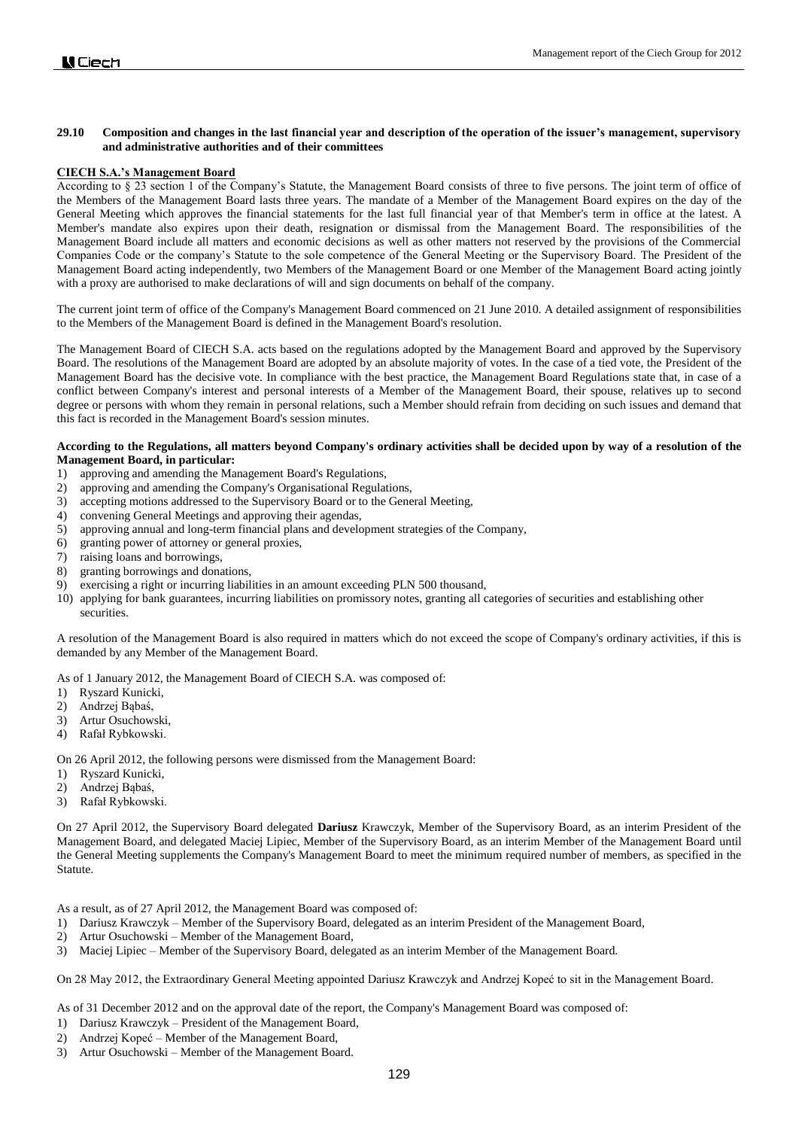# **29.10 Composition and changes in the last financial year and description of the operation of the issuer's management, supervisory and administrative authorities and of their committees**

# **CIECH S.A.'s Management Board**

According to § 23 section 1 of the Company's Statute, the Management Board consists of three to five persons. The joint term of office of the Members of the Management Board lasts three years. The mandate of a Member of the Management Board expires on the day of the General Meeting which approves the financial statements for the last full financial year of that Member's term in office at the latest. A Member's mandate also expires upon their death, resignation or dismissal from the Management Board. The responsibilities of the Management Board include all matters and economic decisions as well as other matters not reserved by the provisions of the Commercial Companies Code or the company's Statute to the sole competence of the General Meeting or the Supervisory Board. The President of the Management Board acting independently, two Members of the Management Board or one Member of the Management Board acting jointly with a proxy are authorised to make declarations of will and sign documents on behalf of the company.

The current joint term of office of the Company's Management Board commenced on 21 June 2010. A detailed assignment of responsibilities to the Members of the Management Board is defined in the Management Board's resolution.

The Management Board of CIECH S.A. acts based on the regulations adopted by the Management Board and approved by the Supervisory Board. The resolutions of the Management Board are adopted by an absolute majority of votes. In the case of a tied vote, the President of the Management Board has the decisive vote. In compliance with the best practice, the Management Board Regulations state that, in case of a conflict between Company's interest and personal interests of a Member of the Management Board, their spouse, relatives up to second degree or persons with whom they remain in personal relations, such a Member should refrain from deciding on such issues and demand that this fact is recorded in the Management Board's session minutes.

### **According to the Regulations, all matters beyond Company's ordinary activities shall be decided upon by way of a resolution of the Management Board, in particular:**

- 1) approving and amending the Management Board's Regulations,
- 2) approving and amending the Company's Organisational Regulations,
- 3) accepting motions addressed to the Supervisory Board or to the General Meeting,
- 4) convening General Meetings and approving their agendas,
- 5) approving annual and long-term financial plans and development strategies of the Company,
- 6) granting power of attorney or general proxies,
- 7) raising loans and borrowings,
- 8) granting borrowings and donations,
- 9) exercising a right or incurring liabilities in an amount exceeding PLN 500 thousand,
- 10) applying for bank guarantees, incurring liabilities on promissory notes, granting all categories of securities and establishing other securities.

A resolution of the Management Board is also required in matters which do not exceed the scope of Company's ordinary activities, if this is demanded by any Member of the Management Board.

As of 1 January 2012, the Management Board of CIECH S.A. was composed of:

- 1) Ryszard Kunicki,
- 2) Andrzej Bąbaś,
- 3) Artur Osuchowski,
- 4) Rafał Rybkowski.

On 26 April 2012, the following persons were dismissed from the Management Board:

- 1) Ryszard Kunicki,
- 2) Andrzej Bąbaś,
- 3) Rafał Rybkowski.

On 27 April 2012, the Supervisory Board delegated **Dariusz** Krawczyk, Member of the Supervisory Board, as an interim President of the Management Board, and delegated Maciej Lipiec, Member of the Supervisory Board, as an interim Member of the Management Board until the General Meeting supplements the Company's Management Board to meet the minimum required number of members, as specified in the Statute.

As a result, as of 27 April 2012, the Management Board was composed of:

- 1) Dariusz Krawczyk Member of the Supervisory Board, delegated as an interim President of the Management Board,
- 2) Artur Osuchowski Member of the Management Board,
- 3) Maciej Lipiec Member of the Supervisory Board, delegated as an interim Member of the Management Board.

On 28 May 2012, the Extraordinary General Meeting appointed Dariusz Krawczyk and Andrzej Kopeć to sit in the Management Board.

As of 31 December 2012 and on the approval date of the report, the Company's Management Board was composed of:

- 1) Dariusz Krawczyk President of the Management Board,
- 2) Andrzej Kopeć Member of the Management Board,
- 3) Artur Osuchowski Member of the Management Board.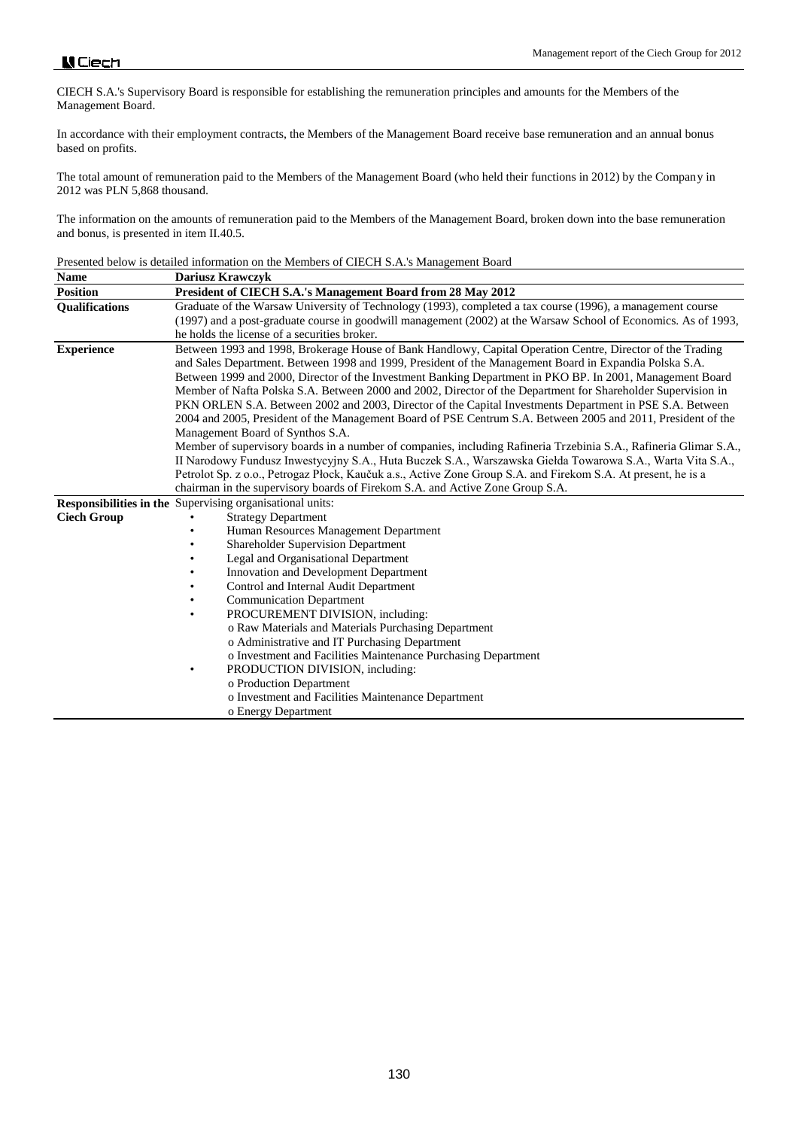CIECH S.A.'s Supervisory Board is responsible for establishing the remuneration principles and amounts for the Members of the Management Board.

In accordance with their employment contracts, the Members of the Management Board receive base remuneration and an annual bonus based on profits.

The total amount of remuneration paid to the Members of the Management Board (who held their functions in 2012) by the Company in 2012 was PLN 5,868 thousand.

The information on the amounts of remuneration paid to the Members of the Management Board, broken down into the base remuneration and bonus, is presented in item II.40.5.

| Presented below is detailed information on the Members of CIECH S.A.'s Management Board |  |
|-----------------------------------------------------------------------------------------|--|
|-----------------------------------------------------------------------------------------|--|

| <b>Name</b>           | <b>Dariusz Krawczyk</b>                                                                                                                                                                                                                                                                                                                                                                                                                                                                                                                                       |  |  |
|-----------------------|---------------------------------------------------------------------------------------------------------------------------------------------------------------------------------------------------------------------------------------------------------------------------------------------------------------------------------------------------------------------------------------------------------------------------------------------------------------------------------------------------------------------------------------------------------------|--|--|
| <b>Position</b>       | President of CIECH S.A.'s Management Board from 28 May 2012                                                                                                                                                                                                                                                                                                                                                                                                                                                                                                   |  |  |
| <b>Qualifications</b> | Graduate of the Warsaw University of Technology (1993), completed a tax course (1996), a management course                                                                                                                                                                                                                                                                                                                                                                                                                                                    |  |  |
|                       | (1997) and a post-graduate course in goodwill management (2002) at the Warsaw School of Economics. As of 1993,                                                                                                                                                                                                                                                                                                                                                                                                                                                |  |  |
|                       | he holds the license of a securities broker.                                                                                                                                                                                                                                                                                                                                                                                                                                                                                                                  |  |  |
| <b>Experience</b>     | Between 1993 and 1998, Brokerage House of Bank Handlowy, Capital Operation Centre, Director of the Trading<br>and Sales Department. Between 1998 and 1999, President of the Management Board in Expandia Polska S.A.<br>Between 1999 and 2000, Director of the Investment Banking Department in PKO BP. In 2001, Management Board<br>Member of Nafta Polska S.A. Between 2000 and 2002, Director of the Department for Shareholder Supervision in<br>PKN ORLEN S.A. Between 2002 and 2003, Director of the Capital Investments Department in PSE S.A. Between |  |  |
|                       | 2004 and 2005, President of the Management Board of PSE Centrum S.A. Between 2005 and 2011, President of the                                                                                                                                                                                                                                                                                                                                                                                                                                                  |  |  |
|                       | Management Board of Synthos S.A.                                                                                                                                                                                                                                                                                                                                                                                                                                                                                                                              |  |  |
|                       | Member of supervisory boards in a number of companies, including Rafineria Trzebinia S.A., Rafineria Glimar S.A.,<br>II Narodowy Fundusz Inwestycyjny S.A., Huta Buczek S.A., Warszawska Giełda Towarowa S.A., Warta Vita S.A.,                                                                                                                                                                                                                                                                                                                               |  |  |
|                       | Petrolot Sp. z o.o., Petrogaz Płock, Kaučuk a.s., Active Zone Group S.A. and Firekom S.A. At present, he is a                                                                                                                                                                                                                                                                                                                                                                                                                                                 |  |  |
|                       | chairman in the supervisory boards of Firekom S.A. and Active Zone Group S.A.                                                                                                                                                                                                                                                                                                                                                                                                                                                                                 |  |  |
|                       | Responsibilities in the Supervising organisational units:                                                                                                                                                                                                                                                                                                                                                                                                                                                                                                     |  |  |
| <b>Ciech Group</b>    | <b>Strategy Department</b>                                                                                                                                                                                                                                                                                                                                                                                                                                                                                                                                    |  |  |
|                       | Human Resources Management Department                                                                                                                                                                                                                                                                                                                                                                                                                                                                                                                         |  |  |
|                       | <b>Shareholder Supervision Department</b>                                                                                                                                                                                                                                                                                                                                                                                                                                                                                                                     |  |  |
|                       | Legal and Organisational Department                                                                                                                                                                                                                                                                                                                                                                                                                                                                                                                           |  |  |
|                       | Innovation and Development Department                                                                                                                                                                                                                                                                                                                                                                                                                                                                                                                         |  |  |
|                       | Control and Internal Audit Department                                                                                                                                                                                                                                                                                                                                                                                                                                                                                                                         |  |  |
|                       | <b>Communication Department</b>                                                                                                                                                                                                                                                                                                                                                                                                                                                                                                                               |  |  |
|                       | PROCUREMENT DIVISION, including:                                                                                                                                                                                                                                                                                                                                                                                                                                                                                                                              |  |  |
|                       | o Raw Materials and Materials Purchasing Department                                                                                                                                                                                                                                                                                                                                                                                                                                                                                                           |  |  |
|                       | o Administrative and IT Purchasing Department                                                                                                                                                                                                                                                                                                                                                                                                                                                                                                                 |  |  |
|                       | o Investment and Facilities Maintenance Purchasing Department                                                                                                                                                                                                                                                                                                                                                                                                                                                                                                 |  |  |
|                       | PRODUCTION DIVISION, including:<br>٠                                                                                                                                                                                                                                                                                                                                                                                                                                                                                                                          |  |  |
|                       | o Production Department                                                                                                                                                                                                                                                                                                                                                                                                                                                                                                                                       |  |  |
|                       | o Investment and Facilities Maintenance Department                                                                                                                                                                                                                                                                                                                                                                                                                                                                                                            |  |  |
|                       | o Energy Department                                                                                                                                                                                                                                                                                                                                                                                                                                                                                                                                           |  |  |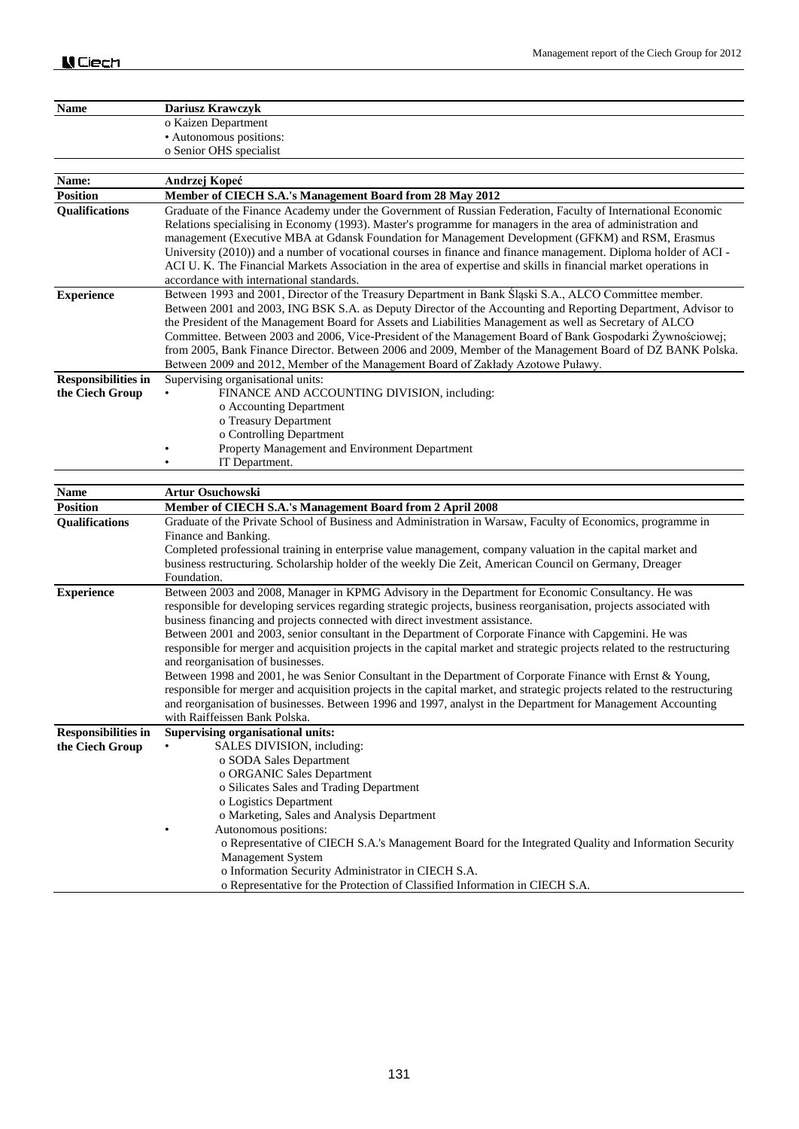| <b>Name</b>                                   | Dariusz Krawczyk                                                                                                                                                                                                                                                                                                                                                                                                                                                                                                                                                                                                      |
|-----------------------------------------------|-----------------------------------------------------------------------------------------------------------------------------------------------------------------------------------------------------------------------------------------------------------------------------------------------------------------------------------------------------------------------------------------------------------------------------------------------------------------------------------------------------------------------------------------------------------------------------------------------------------------------|
|                                               | o Kaizen Department                                                                                                                                                                                                                                                                                                                                                                                                                                                                                                                                                                                                   |
|                                               | · Autonomous positions:                                                                                                                                                                                                                                                                                                                                                                                                                                                                                                                                                                                               |
|                                               | o Senior OHS specialist                                                                                                                                                                                                                                                                                                                                                                                                                                                                                                                                                                                               |
|                                               |                                                                                                                                                                                                                                                                                                                                                                                                                                                                                                                                                                                                                       |
| Name:                                         | Andrzej Kopeć                                                                                                                                                                                                                                                                                                                                                                                                                                                                                                                                                                                                         |
| <b>Position</b>                               | Member of CIECH S.A.'s Management Board from 28 May 2012                                                                                                                                                                                                                                                                                                                                                                                                                                                                                                                                                              |
| Qualifications                                | Graduate of the Finance Academy under the Government of Russian Federation, Faculty of International Economic<br>Relations specialising in Economy (1993). Master's programme for managers in the area of administration and<br>management (Executive MBA at Gdansk Foundation for Management Development (GFKM) and RSM, Erasmus<br>University (2010)) and a number of vocational courses in finance and finance management. Diploma holder of ACI -<br>ACI U.K. The Financial Markets Association in the area of expertise and skills in financial market operations in<br>accordance with international standards. |
| <b>Experience</b>                             | Between 1993 and 2001, Director of the Treasury Department in Bank Śląski S.A., ALCO Committee member.                                                                                                                                                                                                                                                                                                                                                                                                                                                                                                                |
|                                               | Between 2001 and 2003, ING BSK S.A. as Deputy Director of the Accounting and Reporting Department, Advisor to<br>the President of the Management Board for Assets and Liabilities Management as well as Secretary of ALCO<br>Committee. Between 2003 and 2006, Vice-President of the Management Board of Bank Gospodarki Żywnościowej;<br>from 2005, Bank Finance Director. Between 2006 and 2009, Member of the Management Board of DZ BANK Polska.<br>Between 2009 and 2012, Member of the Management Board of Zakłady Azotowe Puławy.                                                                              |
| <b>Responsibilities in</b>                    | Supervising organisational units:                                                                                                                                                                                                                                                                                                                                                                                                                                                                                                                                                                                     |
| the Ciech Group                               | FINANCE AND ACCOUNTING DIVISION, including:                                                                                                                                                                                                                                                                                                                                                                                                                                                                                                                                                                           |
|                                               | o Accounting Department                                                                                                                                                                                                                                                                                                                                                                                                                                                                                                                                                                                               |
|                                               | o Treasury Department<br>o Controlling Department                                                                                                                                                                                                                                                                                                                                                                                                                                                                                                                                                                     |
|                                               | Property Management and Environment Department                                                                                                                                                                                                                                                                                                                                                                                                                                                                                                                                                                        |
|                                               | IT Department.                                                                                                                                                                                                                                                                                                                                                                                                                                                                                                                                                                                                        |
|                                               |                                                                                                                                                                                                                                                                                                                                                                                                                                                                                                                                                                                                                       |
| <b>Name</b>                                   | <b>Artur Osuchowski</b>                                                                                                                                                                                                                                                                                                                                                                                                                                                                                                                                                                                               |
| <b>Position</b>                               | Member of CIECH S.A.'s Management Board from 2 April 2008                                                                                                                                                                                                                                                                                                                                                                                                                                                                                                                                                             |
| Qualifications                                | Graduate of the Private School of Business and Administration in Warsaw, Faculty of Economics, programme in                                                                                                                                                                                                                                                                                                                                                                                                                                                                                                           |
|                                               | Finance and Banking.                                                                                                                                                                                                                                                                                                                                                                                                                                                                                                                                                                                                  |
|                                               | Completed professional training in enterprise value management, company valuation in the capital market and<br>business restructuring. Scholarship holder of the weekly Die Zeit, American Council on Germany, Dreager<br>Foundation.                                                                                                                                                                                                                                                                                                                                                                                 |
| <b>Experience</b>                             | Between 2003 and 2008, Manager in KPMG Advisory in the Department for Economic Consultancy. He was<br>responsible for developing services regarding strategic projects, business reorganisation, projects associated with<br>business financing and projects connected with direct investment assistance.                                                                                                                                                                                                                                                                                                             |
|                                               | Between 2001 and 2003, senior consultant in the Department of Corporate Finance with Capgemini. He was<br>responsible for merger and acquisition projects in the capital market and strategic projects related to the restructuring<br>and reorganisation of businesses.                                                                                                                                                                                                                                                                                                                                              |
|                                               | Between 1998 and 2001, he was Senior Consultant in the Department of Corporate Finance with Ernst & Young,                                                                                                                                                                                                                                                                                                                                                                                                                                                                                                            |
|                                               | responsible for merger and acquisition projects in the capital market, and strategic projects related to the restructuring<br>and reorganisation of businesses. Between 1996 and 1997, analyst in the Department for Management Accounting<br>with Raiffeissen Bank Polska.                                                                                                                                                                                                                                                                                                                                           |
| <b>Responsibilities in</b><br>the Ciech Group | <b>Supervising organisational units:</b><br>SALES DIVISION, including:                                                                                                                                                                                                                                                                                                                                                                                                                                                                                                                                                |
|                                               | o SODA Sales Department                                                                                                                                                                                                                                                                                                                                                                                                                                                                                                                                                                                               |
|                                               | o ORGANIC Sales Department                                                                                                                                                                                                                                                                                                                                                                                                                                                                                                                                                                                            |
|                                               |                                                                                                                                                                                                                                                                                                                                                                                                                                                                                                                                                                                                                       |
|                                               | o Silicates Sales and Trading Department                                                                                                                                                                                                                                                                                                                                                                                                                                                                                                                                                                              |
|                                               | o Logistics Department                                                                                                                                                                                                                                                                                                                                                                                                                                                                                                                                                                                                |
|                                               | o Marketing, Sales and Analysis Department                                                                                                                                                                                                                                                                                                                                                                                                                                                                                                                                                                            |
|                                               | Autonomous positions:                                                                                                                                                                                                                                                                                                                                                                                                                                                                                                                                                                                                 |
|                                               | o Representative of CIECH S.A.'s Management Board for the Integrated Quality and Information Security                                                                                                                                                                                                                                                                                                                                                                                                                                                                                                                 |
|                                               | Management System<br>o Information Security Administrator in CIECH S.A.                                                                                                                                                                                                                                                                                                                                                                                                                                                                                                                                               |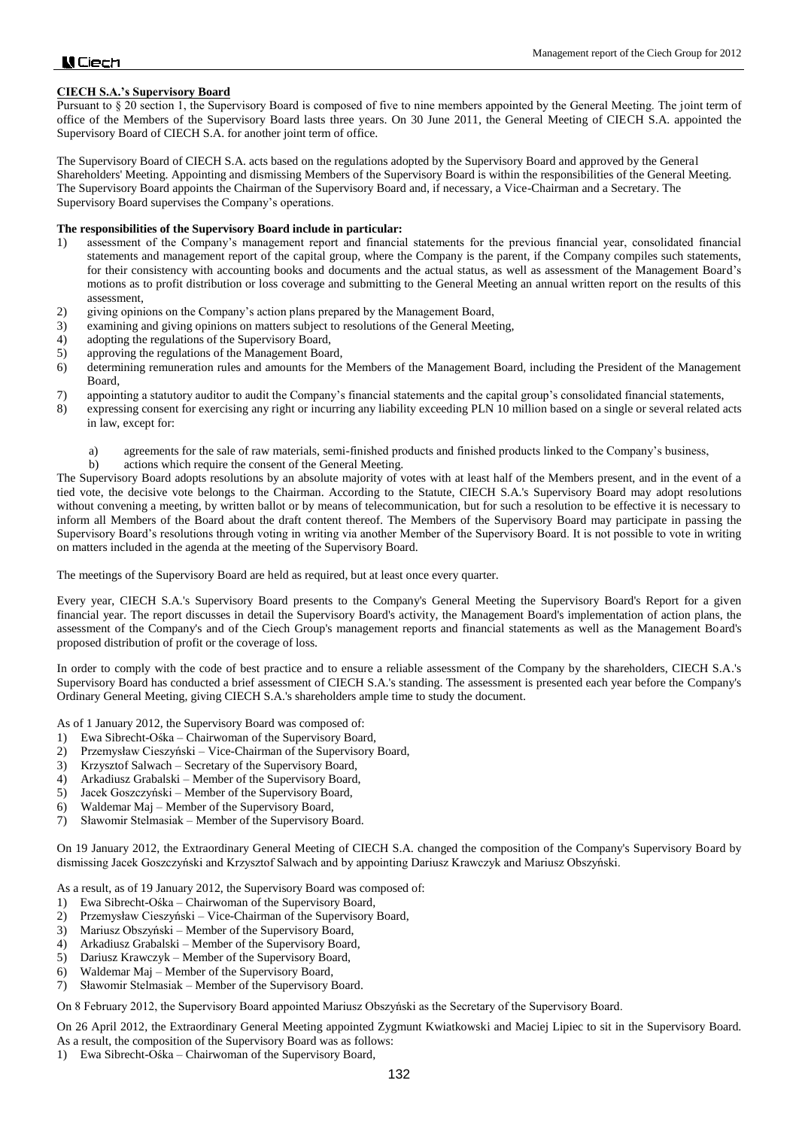# **CIECH S.A.'s Supervisory Board**

Pursuant to § 20 section 1, the Supervisory Board is composed of five to nine members appointed by the General Meeting. The joint term of office of the Members of the Supervisory Board lasts three years. On 30 June 2011, the General Meeting of CIECH S.A. appointed the Supervisory Board of CIECH S.A. for another joint term of office.

The Supervisory Board of CIECH S.A. acts based on the regulations adopted by the Supervisory Board and approved by the General Shareholders' Meeting. Appointing and dismissing Members of the Supervisory Board is within the responsibilities of the General Meeting. The Supervisory Board appoints the Chairman of the Supervisory Board and, if necessary, a Vice-Chairman and a Secretary. The Supervisory Board supervises the Company's operations.

### **The responsibilities of the Supervisory Board include in particular:**

- 1) assessment of the Company's management report and financial statements for the previous financial year, consolidated financial statements and management report of the capital group, where the Company is the parent, if the Company compiles such statements, for their consistency with accounting books and documents and the actual status, as well as assessment of the Management Board's motions as to profit distribution or loss coverage and submitting to the General Meeting an annual written report on the results of this assessment,
- 2) giving opinions on the Company's action plans prepared by the Management Board,
- 3) examining and giving opinions on matters subject to resolutions of the General Meeting,
- 4) adopting the regulations of the Supervisory Board,
- 5) approving the regulations of the Management Board,
- 6) determining remuneration rules and amounts for the Members of the Management Board, including the President of the Management Board,
- 7) appointing a statutory auditor to audit the Company's financial statements and the capital group's consolidated financial statements,
- 8) expressing consent for exercising any right or incurring any liability exceeding PLN 10 million based on a single or several related acts in law, except for:
	- a) agreements for the sale of raw materials, semi-finished products and finished products linked to the Company's business,
	- b) actions which require the consent of the General Meeting.

The Supervisory Board adopts resolutions by an absolute majority of votes with at least half of the Members present, and in the event of a tied vote, the decisive vote belongs to the Chairman. According to the Statute, CIECH S.A.'s Supervisory Board may adopt resolutions without convening a meeting, by written ballot or by means of telecommunication, but for such a resolution to be effective it is necessary to inform all Members of the Board about the draft content thereof. The Members of the Supervisory Board may participate in passing the Supervisory Board's resolutions through voting in writing via another Member of the Supervisory Board. It is not possible to vote in writing on matters included in the agenda at the meeting of the Supervisory Board.

The meetings of the Supervisory Board are held as required, but at least once every quarter.

Every year, CIECH S.A.'s Supervisory Board presents to the Company's General Meeting the Supervisory Board's Report for a given financial year. The report discusses in detail the Supervisory Board's activity, the Management Board's implementation of action plans, the assessment of the Company's and of the Ciech Group's management reports and financial statements as well as the Management Board's proposed distribution of profit or the coverage of loss.

In order to comply with the code of best practice and to ensure a reliable assessment of the Company by the shareholders, CIECH S.A.'s Supervisory Board has conducted a brief assessment of CIECH S.A.'s standing. The assessment is presented each year before the Company's Ordinary General Meeting, giving CIECH S.A.'s shareholders ample time to study the document.

As of 1 January 2012, the Supervisory Board was composed of:

- 1) Ewa Sibrecht-Ośka Chairwoman of the Supervisory Board,
- 2) Przemysław Cieszyński Vice-Chairman of the Supervisory Board,
- 3) Krzysztof Salwach Secretary of the Supervisory Board,
- 4) Arkadiusz Grabalski Member of the Supervisory Board,
- 5) Jacek Goszczyński Member of the Supervisory Board,
- 6) Waldemar Maj Member of the Supervisory Board,
- 7) Sławomir Stelmasiak Member of the Supervisory Board.

On 19 January 2012, the Extraordinary General Meeting of CIECH S.A. changed the composition of the Company's Supervisory Board by dismissing Jacek Goszczyński and Krzysztof Salwach and by appointing Dariusz Krawczyk and Mariusz Obszyński.

As a result, as of 19 January 2012, the Supervisory Board was composed of:

- 1) Ewa Sibrecht-Ośka Chairwoman of the Supervisory Board,
- 2) Przemysław Cieszyński Vice-Chairman of the Supervisory Board,
- 3) Mariusz Obszyński Member of the Supervisory Board,
- 4) Arkadiusz Grabalski Member of the Supervisory Board,
- 5) Dariusz Krawczyk Member of the Supervisory Board,
- 6) Waldemar Maj Member of the Supervisory Board,
- 7) Sławomir Stelmasiak Member of the Supervisory Board.

On 8 February 2012, the Supervisory Board appointed Mariusz Obszyński as the Secretary of the Supervisory Board.

On 26 April 2012, the Extraordinary General Meeting appointed Zygmunt Kwiatkowski and Maciej Lipiec to sit in the Supervisory Board.

As a result, the composition of the Supervisory Board was as follows:

1) Ewa Sibrecht-Ośka – Chairwoman of the Supervisory Board,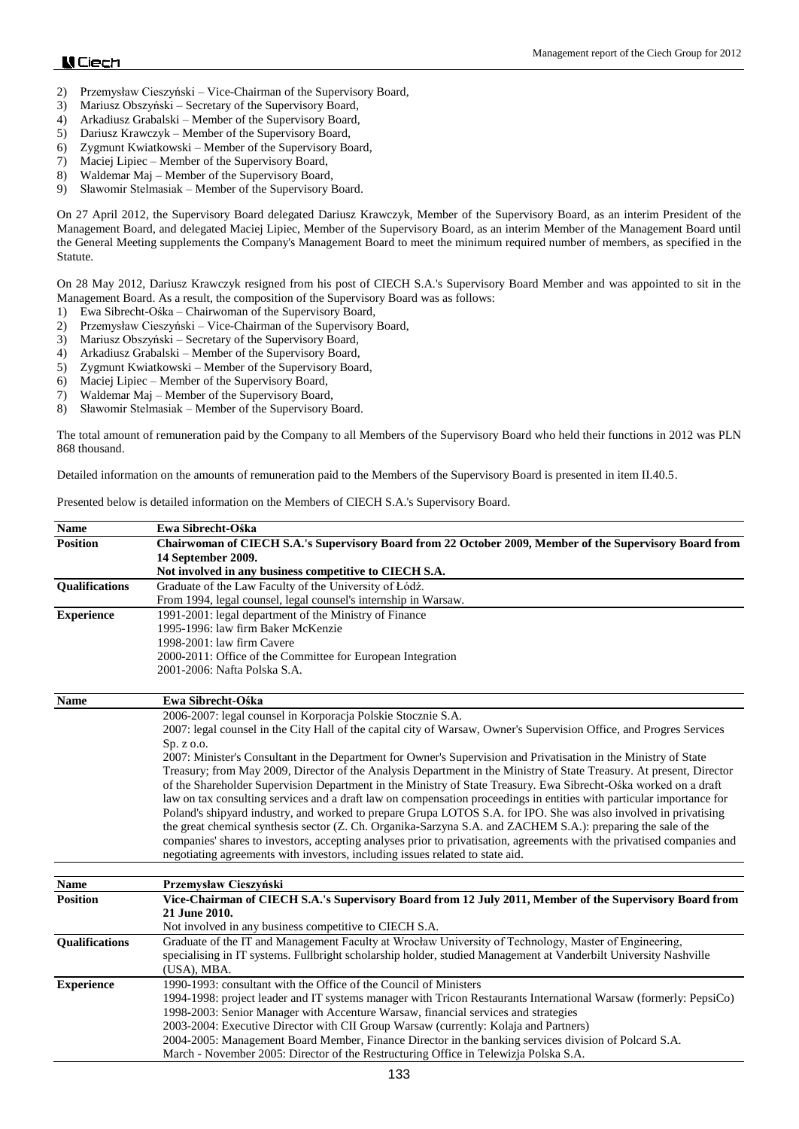- 2) Przemysław Cieszyński Vice-Chairman of the Supervisory Board,
- 3) Mariusz Obszyński Secretary of the Supervisory Board,
- 4) Arkadiusz Grabalski Member of the Supervisory Board,
- 5) Dariusz Krawczyk Member of the Supervisory Board,
- 6) Zygmunt Kwiatkowski Member of the Supervisory Board,
- 7) Maciej Lipiec Member of the Supervisory Board,
- 8) Waldemar Maj Member of the Supervisory Board,
- 9) Sławomir Stelmasiak Member of the Supervisory Board.

On 27 April 2012, the Supervisory Board delegated Dariusz Krawczyk, Member of the Supervisory Board, as an interim President of the Management Board, and delegated Maciej Lipiec, Member of the Supervisory Board, as an interim Member of the Management Board until the General Meeting supplements the Company's Management Board to meet the minimum required number of members, as specified in the Statute.

On 28 May 2012, Dariusz Krawczyk resigned from his post of CIECH S.A.'s Supervisory Board Member and was appointed to sit in the Management Board. As a result, the composition of the Supervisory Board was as follows:

- 1) Ewa Sibrecht-Ośka Chairwoman of the Supervisory Board,
- 2) Przemysław Cieszyński Vice-Chairman of the Supervisory Board,
- 3) Mariusz Obszyński Secretary of the Supervisory Board,
- 4) Arkadiusz Grabalski Member of the Supervisory Board,
- 5) Zygmunt Kwiatkowski Member of the Supervisory Board,
- 6) Maciej Lipiec Member of the Supervisory Board,
- 7) Waldemar Maj Member of the Supervisory Board,
- 8) Sławomir Stelmasiak Member of the Supervisory Board.

The total amount of remuneration paid by the Company to all Members of the Supervisory Board who held their functions in 2012 was PLN 868 thousand.

Detailed information on the amounts of remuneration paid to the Members of the Supervisory Board is presented in item II.40.5.

### Presented below is detailed information on the Members of CIECH S.A.'s Supervisory Board.

| <b>Name</b>       | Ewa Sibrecht-Ośka                                                                                                       |  |  |
|-------------------|-------------------------------------------------------------------------------------------------------------------------|--|--|
| <b>Position</b>   | Chairwoman of CIECH S.A.'s Supervisory Board from 22 October 2009, Member of the Supervisory Board from                 |  |  |
|                   | 14 September 2009.                                                                                                      |  |  |
|                   | Not involved in any business competitive to CIECH S.A.                                                                  |  |  |
| Qualifications    | Graduate of the Law Faculty of the University of Łódź.                                                                  |  |  |
|                   | From 1994, legal counsel, legal counsel's internship in Warsaw.                                                         |  |  |
| <b>Experience</b> | 1991-2001: legal department of the Ministry of Finance                                                                  |  |  |
|                   | 1995-1996: law firm Baker McKenzie                                                                                      |  |  |
|                   | 1998-2001: law firm Cavere                                                                                              |  |  |
|                   | 2000-2011: Office of the Committee for European Integration                                                             |  |  |
|                   | 2001-2006: Nafta Polska S.A.                                                                                            |  |  |
| <b>Name</b>       | Ewa Sibrecht-Ośka                                                                                                       |  |  |
|                   | 2006-2007: legal counsel in Korporacja Polskie Stocznie S.A.                                                            |  |  |
|                   | 2007: legal counsel in the City Hall of the capital city of Warsaw, Owner's Supervision Office, and Progres Services    |  |  |
|                   | Sp. z o.o.                                                                                                              |  |  |
|                   | 2007: Minister's Consultant in the Department for Owner's Supervision and Privatisation in the Ministry of State        |  |  |
|                   | Treasury; from May 2009, Director of the Analysis Department in the Ministry of State Treasury. At present, Director    |  |  |
|                   | of the Shareholder Supervision Department in the Ministry of State Treasury. Ewa Sibrecht-Ośka worked on a draft        |  |  |
|                   | law on tax consulting services and a draft law on compensation proceedings in entities with particular importance for   |  |  |
|                   | Poland's shipyard industry, and worked to prepare Grupa LOTOS S.A. for IPO. She was also involved in privatising        |  |  |
|                   | the great chemical synthesis sector (Z. Ch. Organika-Sarzyna S.A. and ZACHEM S.A.): preparing the sale of the           |  |  |
|                   | companies' shares to investors, accepting analyses prior to privatisation, agreements with the privatised companies and |  |  |
|                   | negotiating agreements with investors, including issues related to state aid.                                           |  |  |
| <b>Name</b>       | Przemysław Cieszyński                                                                                                   |  |  |
| <b>Position</b>   | Vice-Chairman of CIECH S.A.'s Supervisory Board from 12 July 2011, Member of the Supervisory Board from                 |  |  |
|                   | 21 June 2010.                                                                                                           |  |  |
|                   | Not involved in any business competitive to CIECH S.A.                                                                  |  |  |
| Qualifications    | Graduate of the IT and Management Faculty at Wrocław University of Technology, Master of Engineering,                   |  |  |
|                   | specialising in IT systems. Fullbright scholarship holder, studied Management at Vanderbilt University Nashville        |  |  |
|                   | (USA), MBA.                                                                                                             |  |  |
| <b>Experience</b> | 1990-1993: consultant with the Office of the Council of Ministers                                                       |  |  |
|                   | 1994-1998: project leader and IT systems manager with Tricon Restaurants International Warsaw (formerly: PepsiCo)       |  |  |
|                   | 1998-2003: Senior Manager with Accenture Warsaw, financial services and strategies                                      |  |  |
|                   | 2003-2004: Executive Director with CII Group Warsaw (currently: Kolaja and Partners)                                    |  |  |
|                   | 2004-2005: Management Board Member, Finance Director in the banking services division of Polcard S.A.                   |  |  |
|                   | March - November 2005: Director of the Restructuring Office in Telewizja Polska S.A.                                    |  |  |
|                   |                                                                                                                         |  |  |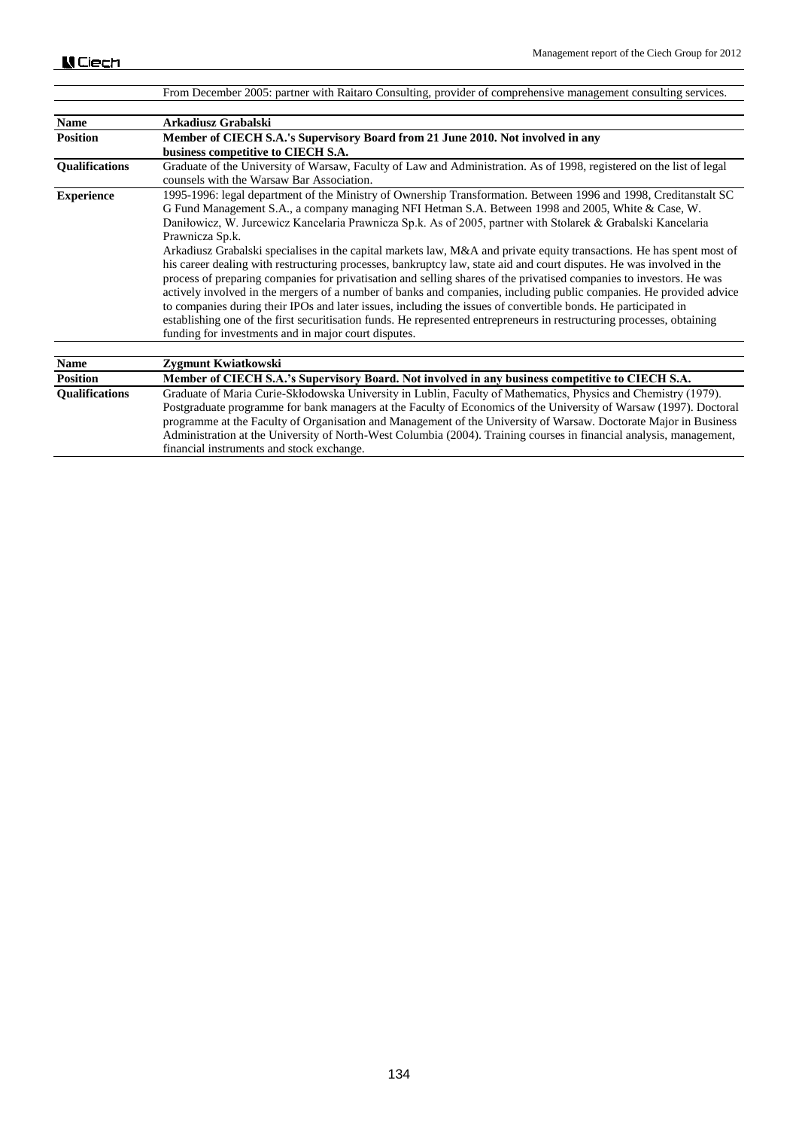|                       | From December 2005: partner with Raitaro Consulting, provider of comprehensive management consulting services.                                                                                                                                                                                                                                                                                                                                                                                                                                                                                                                                                                                                                                                                                                                                                                                                                                                                                                                                                                                                                                                 |
|-----------------------|----------------------------------------------------------------------------------------------------------------------------------------------------------------------------------------------------------------------------------------------------------------------------------------------------------------------------------------------------------------------------------------------------------------------------------------------------------------------------------------------------------------------------------------------------------------------------------------------------------------------------------------------------------------------------------------------------------------------------------------------------------------------------------------------------------------------------------------------------------------------------------------------------------------------------------------------------------------------------------------------------------------------------------------------------------------------------------------------------------------------------------------------------------------|
|                       |                                                                                                                                                                                                                                                                                                                                                                                                                                                                                                                                                                                                                                                                                                                                                                                                                                                                                                                                                                                                                                                                                                                                                                |
| <b>Name</b>           | Arkadiusz Grabalski                                                                                                                                                                                                                                                                                                                                                                                                                                                                                                                                                                                                                                                                                                                                                                                                                                                                                                                                                                                                                                                                                                                                            |
| <b>Position</b>       | Member of CIECH S.A.'s Supervisory Board from 21 June 2010. Not involved in any                                                                                                                                                                                                                                                                                                                                                                                                                                                                                                                                                                                                                                                                                                                                                                                                                                                                                                                                                                                                                                                                                |
|                       | business competitive to CIECH S.A.                                                                                                                                                                                                                                                                                                                                                                                                                                                                                                                                                                                                                                                                                                                                                                                                                                                                                                                                                                                                                                                                                                                             |
| <b>Oualifications</b> | Graduate of the University of Warsaw, Faculty of Law and Administration. As of 1998, registered on the list of legal<br>counsels with the Warsaw Bar Association.                                                                                                                                                                                                                                                                                                                                                                                                                                                                                                                                                                                                                                                                                                                                                                                                                                                                                                                                                                                              |
| <b>Experience</b>     | 1995-1996: legal department of the Ministry of Ownership Transformation. Between 1996 and 1998, Creditanstalt SC<br>G Fund Management S.A., a company managing NFI Hetman S.A. Between 1998 and 2005, White & Case, W.<br>Daniłowicz, W. Jurcewicz Kancelaria Prawnicza Sp.k. As of 2005, partner with Stolarek & Grabalski Kancelaria<br>Prawnicza Sp.k.<br>Arkadiusz Grabalski specialises in the capital markets law, M&A and private equity transactions. He has spent most of<br>his career dealing with restructuring processes, bankruptcy law, state aid and court disputes. He was involved in the<br>process of preparing companies for privatisation and selling shares of the privatised companies to investors. He was<br>actively involved in the mergers of a number of banks and companies, including public companies. He provided advice<br>to companies during their IPOs and later issues, including the issues of convertible bonds. He participated in<br>establishing one of the first securitisation funds. He represented entrepreneurs in restructuring processes, obtaining<br>funding for investments and in major court disputes. |
| <b>Name</b>           | Zygmunt Kwiatkowski                                                                                                                                                                                                                                                                                                                                                                                                                                                                                                                                                                                                                                                                                                                                                                                                                                                                                                                                                                                                                                                                                                                                            |
| <b>Position</b>       | Member of CIECH S.A.'s Supervisory Board. Not involved in any business competitive to CIECH S.A.                                                                                                                                                                                                                                                                                                                                                                                                                                                                                                                                                                                                                                                                                                                                                                                                                                                                                                                                                                                                                                                               |
| <b>Oualifications</b> | Graduate of Maria Curie-Skłodowska University in Lublin, Faculty of Mathematics, Physics and Chemistry (1979).                                                                                                                                                                                                                                                                                                                                                                                                                                                                                                                                                                                                                                                                                                                                                                                                                                                                                                                                                                                                                                                 |
|                       | Postgraduate programme for bank managers at the Faculty of Economics of the University of Warsaw (1997). Doctoral                                                                                                                                                                                                                                                                                                                                                                                                                                                                                                                                                                                                                                                                                                                                                                                                                                                                                                                                                                                                                                              |
|                       | programme at the Faculty of Organisation and Management of the University of Warsaw. Doctorate Major in Business                                                                                                                                                                                                                                                                                                                                                                                                                                                                                                                                                                                                                                                                                                                                                                                                                                                                                                                                                                                                                                               |

financial instruments and stock exchange.

Administration at the University of North-West Columbia (2004). Training courses in financial analysis, management,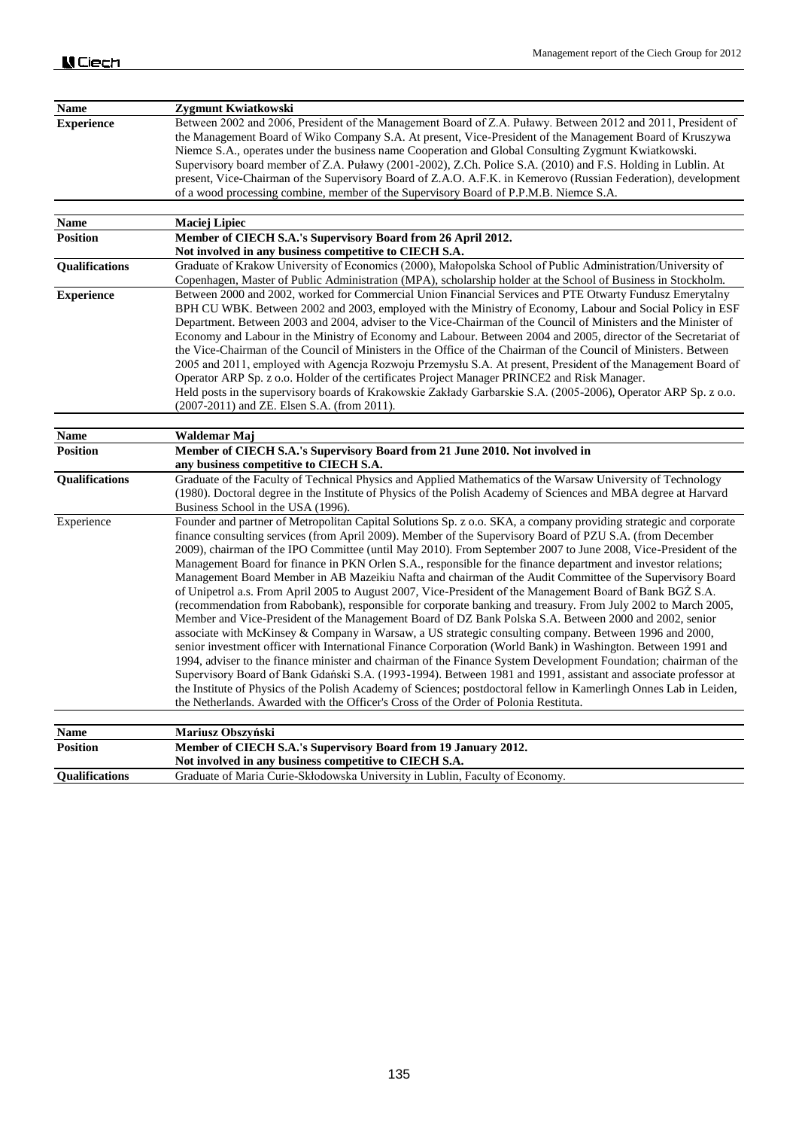| <b>Name</b>           | Zygmunt Kwiatkowski                                                                                                                                                                                                                                                                                                                                                                                                                                                                                                                                                                                                                                                                                                                                                                                                                                                                                                                                                                                                                                                                                                                                                                                                                                                                                                                                                                                                                                                                                                                                                                                     |
|-----------------------|---------------------------------------------------------------------------------------------------------------------------------------------------------------------------------------------------------------------------------------------------------------------------------------------------------------------------------------------------------------------------------------------------------------------------------------------------------------------------------------------------------------------------------------------------------------------------------------------------------------------------------------------------------------------------------------------------------------------------------------------------------------------------------------------------------------------------------------------------------------------------------------------------------------------------------------------------------------------------------------------------------------------------------------------------------------------------------------------------------------------------------------------------------------------------------------------------------------------------------------------------------------------------------------------------------------------------------------------------------------------------------------------------------------------------------------------------------------------------------------------------------------------------------------------------------------------------------------------------------|
| <b>Experience</b>     | Between 2002 and 2006, President of the Management Board of Z.A. Puławy. Between 2012 and 2011, President of<br>the Management Board of Wiko Company S.A. At present, Vice-President of the Management Board of Kruszywa<br>Niemce S.A., operates under the business name Cooperation and Global Consulting Zygmunt Kwiatkowski.<br>Supervisory board member of Z.A. Puławy (2001-2002), Z.Ch. Police S.A. (2010) and F.S. Holding in Lublin. At<br>present, Vice-Chairman of the Supervisory Board of Z.A.O. A.F.K. in Kemerovo (Russian Federation), development<br>of a wood processing combine, member of the Supervisory Board of P.P.M.B. Niemce S.A.                                                                                                                                                                                                                                                                                                                                                                                                                                                                                                                                                                                                                                                                                                                                                                                                                                                                                                                                             |
| <b>Name</b>           |                                                                                                                                                                                                                                                                                                                                                                                                                                                                                                                                                                                                                                                                                                                                                                                                                                                                                                                                                                                                                                                                                                                                                                                                                                                                                                                                                                                                                                                                                                                                                                                                         |
| <b>Position</b>       | <b>Maciej Lipiec</b><br>Member of CIECH S.A.'s Supervisory Board from 26 April 2012.                                                                                                                                                                                                                                                                                                                                                                                                                                                                                                                                                                                                                                                                                                                                                                                                                                                                                                                                                                                                                                                                                                                                                                                                                                                                                                                                                                                                                                                                                                                    |
|                       | Not involved in any business competitive to CIECH S.A.                                                                                                                                                                                                                                                                                                                                                                                                                                                                                                                                                                                                                                                                                                                                                                                                                                                                                                                                                                                                                                                                                                                                                                                                                                                                                                                                                                                                                                                                                                                                                  |
| Qualifications        | Graduate of Krakow University of Economics (2000), Małopolska School of Public Administration/University of<br>Copenhagen, Master of Public Administration (MPA), scholarship holder at the School of Business in Stockholm.                                                                                                                                                                                                                                                                                                                                                                                                                                                                                                                                                                                                                                                                                                                                                                                                                                                                                                                                                                                                                                                                                                                                                                                                                                                                                                                                                                            |
| <b>Experience</b>     | Between 2000 and 2002, worked for Commercial Union Financial Services and PTE Otwarty Fundusz Emerytalny<br>BPH CU WBK. Between 2002 and 2003, employed with the Ministry of Economy, Labour and Social Policy in ESF<br>Department. Between 2003 and 2004, adviser to the Vice-Chairman of the Council of Ministers and the Minister of<br>Economy and Labour in the Ministry of Economy and Labour. Between 2004 and 2005, director of the Secretariat of<br>the Vice-Chairman of the Council of Ministers in the Office of the Chairman of the Council of Ministers. Between<br>2005 and 2011, employed with Agencja Rozwoju Przemysłu S.A. At present, President of the Management Board of<br>Operator ARP Sp. z o.o. Holder of the certificates Project Manager PRINCE2 and Risk Manager.<br>Held posts in the supervisory boards of Krakowskie Zakłady Garbarskie S.A. (2005-2006), Operator ARP Sp. z o.o.<br>$(2007-2011)$ and ZE. Elsen S.A. (from 2011).                                                                                                                                                                                                                                                                                                                                                                                                                                                                                                                                                                                                                                     |
| <b>Name</b>           | Waldemar Maj                                                                                                                                                                                                                                                                                                                                                                                                                                                                                                                                                                                                                                                                                                                                                                                                                                                                                                                                                                                                                                                                                                                                                                                                                                                                                                                                                                                                                                                                                                                                                                                            |
| <b>Position</b>       | Member of CIECH S.A.'s Supervisory Board from 21 June 2010. Not involved in<br>any business competitive to CIECH S.A.                                                                                                                                                                                                                                                                                                                                                                                                                                                                                                                                                                                                                                                                                                                                                                                                                                                                                                                                                                                                                                                                                                                                                                                                                                                                                                                                                                                                                                                                                   |
| Qualifications        | Graduate of the Faculty of Technical Physics and Applied Mathematics of the Warsaw University of Technology<br>(1980). Doctoral degree in the Institute of Physics of the Polish Academy of Sciences and MBA degree at Harvard<br>Business School in the USA (1996).                                                                                                                                                                                                                                                                                                                                                                                                                                                                                                                                                                                                                                                                                                                                                                                                                                                                                                                                                                                                                                                                                                                                                                                                                                                                                                                                    |
| Experience            | Founder and partner of Metropolitan Capital Solutions Sp. z o.o. SKA, a company providing strategic and corporate<br>finance consulting services (from April 2009). Member of the Supervisory Board of PZU S.A. (from December<br>2009), chairman of the IPO Committee (until May 2010). From September 2007 to June 2008, Vice-President of the<br>Management Board for finance in PKN Orlen S.A., responsible for the finance department and investor relations;<br>Management Board Member in AB Mazeikiu Nafta and chairman of the Audit Committee of the Supervisory Board<br>of Unipetrol a.s. From April 2005 to August 2007, Vice-President of the Management Board of Bank BGZ S.A.<br>(recommendation from Rabobank), responsible for corporate banking and treasury. From July 2002 to March 2005,<br>Member and Vice-President of the Management Board of DZ Bank Polska S.A. Between 2000 and 2002, senior<br>associate with McKinsey & Company in Warsaw, a US strategic consulting company. Between 1996 and 2000,<br>senior investment officer with International Finance Corporation (World Bank) in Washington. Between 1991 and<br>1994, adviser to the finance minister and chairman of the Finance System Development Foundation; chairman of the<br>Supervisory Board of Bank Gdański S.A. (1993-1994). Between 1981 and 1991, assistant and associate professor at<br>the Institute of Physics of the Polish Academy of Sciences; postdoctoral fellow in Kamerlingh Onnes Lab in Leiden,<br>the Netherlands. Awarded with the Officer's Cross of the Order of Polonia Restituta. |
| Name                  | <b>Mariusz Obszyński</b>                                                                                                                                                                                                                                                                                                                                                                                                                                                                                                                                                                                                                                                                                                                                                                                                                                                                                                                                                                                                                                                                                                                                                                                                                                                                                                                                                                                                                                                                                                                                                                                |
| <b>Position</b>       | Member of CIECH S.A.'s Supervisory Board from 19 January 2012.<br>Not involved in any business competitive to CIECH S.A.                                                                                                                                                                                                                                                                                                                                                                                                                                                                                                                                                                                                                                                                                                                                                                                                                                                                                                                                                                                                                                                                                                                                                                                                                                                                                                                                                                                                                                                                                |
| <b>Qualifications</b> | Graduate of Maria Curie-Skłodowska University in Lublin, Faculty of Economy.                                                                                                                                                                                                                                                                                                                                                                                                                                                                                                                                                                                                                                                                                                                                                                                                                                                                                                                                                                                                                                                                                                                                                                                                                                                                                                                                                                                                                                                                                                                            |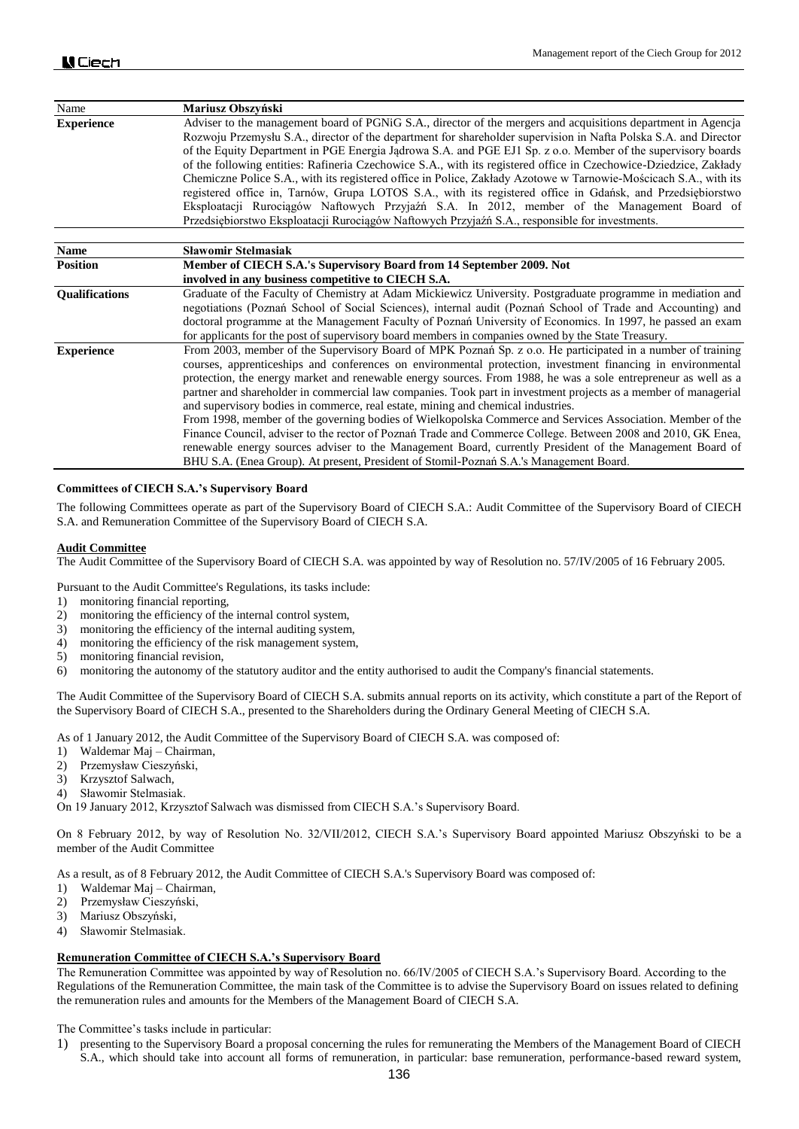| Name                  | Mariusz Obszyński                                                                                                                                                                                                                                                                                                                                                                                                                                                                                                                                                                                                                                                                                                                                                                                                                                                                                                                                                                       |
|-----------------------|-----------------------------------------------------------------------------------------------------------------------------------------------------------------------------------------------------------------------------------------------------------------------------------------------------------------------------------------------------------------------------------------------------------------------------------------------------------------------------------------------------------------------------------------------------------------------------------------------------------------------------------------------------------------------------------------------------------------------------------------------------------------------------------------------------------------------------------------------------------------------------------------------------------------------------------------------------------------------------------------|
| <b>Experience</b>     | Adviser to the management board of PGNiG S.A., director of the mergers and acquisitions department in Agencia<br>Rozwoju Przemysłu S.A., director of the department for shareholder supervision in Nafta Polska S.A. and Director<br>of the Equity Department in PGE Energia Jadrowa S.A. and PGE EJ1 Sp. z o.o. Member of the supervisory boards<br>of the following entities: Rafineria Czechowice S.A., with its registered office in Czechowice-Dziedzice, Zakłady<br>Chemiczne Police S.A., with its registered office in Police, Zakłady Azotowe w Tarnowie-Mościcach S.A., with its<br>registered office in, Tarnów, Grupa LOTOS S.A., with its registered office in Gdańsk, and Przedsiębiorstwo<br>Eksploatacji Rurociagów Naftowych Przyjaźń S.A. In 2012, member of the Management Board of<br>Przedsiębiorstwo Eksploatacji Rurociągów Naftowych Przyjaźń S.A., responsible for investments.                                                                                |
| <b>Name</b>           | <b>Slawomir Stelmasiak</b>                                                                                                                                                                                                                                                                                                                                                                                                                                                                                                                                                                                                                                                                                                                                                                                                                                                                                                                                                              |
| <b>Position</b>       | Member of CIECH S.A.'s Supervisory Board from 14 September 2009. Not<br>involved in any business competitive to CIECH S.A.                                                                                                                                                                                                                                                                                                                                                                                                                                                                                                                                                                                                                                                                                                                                                                                                                                                              |
| <b>Oualifications</b> | Graduate of the Faculty of Chemistry at Adam Mickiewicz University. Postgraduate programme in mediation and<br>negotiations (Poznań School of Social Sciences), internal audit (Poznań School of Trade and Accounting) and<br>doctoral programme at the Management Faculty of Poznań University of Economics. In 1997, he passed an exam<br>for applicants for the post of supervisory board members in companies owned by the State Treasury.                                                                                                                                                                                                                                                                                                                                                                                                                                                                                                                                          |
| <b>Experience</b>     | From 2003, member of the Supervisory Board of MPK Poznań Sp. z o.o. He participated in a number of training<br>courses, apprenticeships and conferences on environmental protection, investment financing in environmental<br>protection, the energy market and renewable energy sources. From 1988, he was a sole entrepreneur as well as a<br>partner and shareholder in commercial law companies. Took part in investment projects as a member of managerial<br>and supervisory bodies in commerce, real estate, mining and chemical industries.<br>From 1998, member of the governing bodies of Wielkopolska Commerce and Services Association. Member of the<br>Finance Council, adviser to the rector of Poznań Trade and Commerce College. Between 2008 and 2010, GK Enea,<br>renewable energy sources adviser to the Management Board, currently President of the Management Board of<br>BHU S.A. (Enea Group). At present, President of Stomil-Poznań S.A.'s Management Board. |

### **Committees of CIECH S.A.'s Supervisory Board**

The following Committees operate as part of the Supervisory Board of CIECH S.A.: Audit Committee of the Supervisory Board of CIECH S.A. and Remuneration Committee of the Supervisory Board of CIECH S.A.

#### **Audit Committee**

The Audit Committee of the Supervisory Board of CIECH S.A. was appointed by way of Resolution no. 57/IV/2005 of 16 February 2005.

Pursuant to the Audit Committee's Regulations, its tasks include:

- 1) monitoring financial reporting,
- 2) monitoring the efficiency of the internal control system,
- 3) monitoring the efficiency of the internal auditing system,
- 4) monitoring the efficiency of the risk management system,
- 5) monitoring financial revision,
- 6) monitoring the autonomy of the statutory auditor and the entity authorised to audit the Company's financial statements.

The Audit Committee of the Supervisory Board of CIECH S.A. submits annual reports on its activity, which constitute a part of the Report of the Supervisory Board of CIECH S.A., presented to the Shareholders during the Ordinary General Meeting of CIECH S.A.

As of 1 January 2012, the Audit Committee of the Supervisory Board of CIECH S.A. was composed of:

- 1) Waldemar Maj Chairman,
- 2) Przemysław Cieszyński,
- 3) Krzysztof Salwach,
- 4) Sławomir Stelmasiak.

On 19 January 2012, Krzysztof Salwach was dismissed from CIECH S.A.'s Supervisory Board.

On 8 February 2012, by way of Resolution No. 32/VII/2012, CIECH S.A.'s Supervisory Board appointed Mariusz Obszyński to be a member of the Audit Committee

As a result, as of 8 February 2012, the Audit Committee of CIECH S.A.'s Supervisory Board was composed of:

- 1) Waldemar Maj Chairman,
- 2) Przemysław Cieszyński,
- 3) Mariusz Obszyński,
- 4) Sławomir Stelmasiak.

#### **Remuneration Committee of CIECH S.A.'s Supervisory Board**

The Remuneration Committee was appointed by way of Resolution no. 66/IV/2005 of CIECH S.A.'s Supervisory Board. According to the Regulations of the Remuneration Committee, the main task of the Committee is to advise the Supervisory Board on issues related to defining the remuneration rules and amounts for the Members of the Management Board of CIECH S.A.

The Committee's tasks include in particular:

1) presenting to the Supervisory Board a proposal concerning the rules for remunerating the Members of the Management Board of CIECH S.A., which should take into account all forms of remuneration, in particular: base remuneration, performance-based reward system,